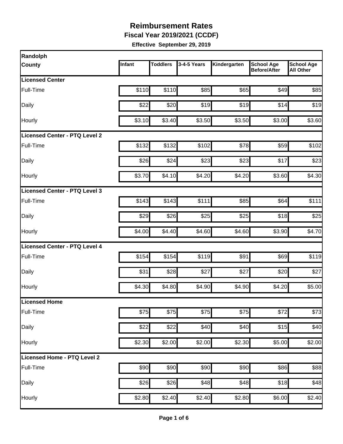**Fiscal Year 2019/2021 (CCDF)**

| Randolph                      |        |                 |             |              |                                          |                                       |
|-------------------------------|--------|-----------------|-------------|--------------|------------------------------------------|---------------------------------------|
| <b>County</b>                 | Infant | <b>Toddlers</b> | 3-4-5 Years | Kindergarten | <b>School Age</b><br><b>Before/After</b> | <b>School Age</b><br><b>All Other</b> |
| <b>Licensed Center</b>        |        |                 |             |              |                                          |                                       |
| Full-Time                     | \$110  | \$110           | \$85        | \$65         | \$49                                     | \$85                                  |
| Daily                         | \$22   | \$20            | \$19        | \$19         | \$14                                     | \$19                                  |
| Hourly                        | \$3.10 | \$3.40          | \$3.50      | \$3.50       | \$3.00                                   | \$3.60                                |
| Licensed Center - PTQ Level 2 |        |                 |             |              |                                          |                                       |
| Full-Time                     | \$132  | \$132           | \$102       | \$78         | \$59                                     | \$102                                 |
| Daily                         | \$26   | \$24            | \$23        | \$23         | \$17                                     | \$23                                  |
| Hourly                        | \$3.70 | \$4.10          | \$4.20      | \$4.20       | \$3.60                                   | \$4.30                                |
| Licensed Center - PTQ Level 3 |        |                 |             |              |                                          |                                       |
| Full-Time                     | \$143  | \$143           | \$111       | \$85         | \$64                                     | \$111                                 |
| Daily                         | \$29   | \$26            | \$25        | \$25         | \$18                                     | \$25                                  |
| Hourly                        | \$4.00 | \$4.40          | \$4.60      | \$4.60       | \$3.90                                   | \$4.70                                |
| Licensed Center - PTQ Level 4 |        |                 |             |              |                                          |                                       |
| Full-Time                     | \$154  | \$154           | \$119       | \$91         | \$69                                     | \$119                                 |
| Daily                         | \$31   | \$28            | \$27        | \$27         | \$20                                     | \$27                                  |
| Hourly                        | \$4.30 | \$4.80          | \$4.90      | \$4.90       | \$4.20                                   | \$5.00                                |
| Licensed Home                 |        |                 |             |              |                                          |                                       |
| Full-Time                     | \$75   | \$75            | \$75        | \$75         | \$72                                     | \$73                                  |
| Daily                         | \$22   | \$22            | \$40        | \$40         | \$15                                     | \$40                                  |
| Hourly                        | \$2.30 | \$2.00          | \$2.00      | \$2.30       | \$5.00                                   | \$2.00                                |
| Licensed Home - PTQ Level 2   |        |                 |             |              |                                          |                                       |
| Full-Time                     | \$90   | \$90            | \$90        | \$90         | \$86                                     | \$88                                  |
| Daily                         | \$26   | \$26            | \$48        | \$48         | \$18                                     | \$48                                  |
| Hourly                        | \$2.80 | \$2.40          | \$2.40      | \$2.80       | \$6.00                                   | \$2.40                                |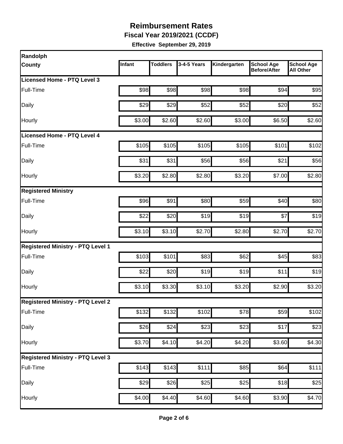**Fiscal Year 2019/2021 (CCDF)**

| Randolph                                 |        |                 |             |              |                                          |                                       |
|------------------------------------------|--------|-----------------|-------------|--------------|------------------------------------------|---------------------------------------|
| County                                   | Infant | <b>Toddlers</b> | 3-4-5 Years | Kindergarten | <b>School Age</b><br><b>Before/After</b> | <b>School Age</b><br><b>All Other</b> |
| Licensed Home - PTQ Level 3              |        |                 |             |              |                                          |                                       |
| Full-Time                                | \$98   | \$98            | \$98        | \$98         | \$94                                     | \$95                                  |
| Daily                                    | \$29   | \$29            | \$52        | \$52         | \$20                                     | \$52                                  |
| Hourly                                   | \$3.00 | \$2.60          | \$2.60      | \$3.00       | \$6.50                                   | \$2.60                                |
| <b>Licensed Home - PTQ Level 4</b>       |        |                 |             |              |                                          |                                       |
| Full-Time                                | \$105  | \$105           | \$105       | \$105        | \$101                                    | \$102                                 |
| Daily                                    | \$31   | \$31            | \$56        | \$56         | \$21                                     | \$56                                  |
| Hourly                                   | \$3.20 | \$2.80          | \$2.80      | \$3.20       | \$7.00                                   | \$2.80                                |
| <b>Registered Ministry</b>               |        |                 |             |              |                                          |                                       |
| Full-Time                                | \$96   | \$91            | \$80        | \$59         | \$40                                     | \$80                                  |
| Daily                                    | \$22   | \$20            | \$19        | \$19         | \$7                                      | \$19                                  |
| Hourly                                   | \$3.10 | \$3.10          | \$2.70      | \$2.80       | \$2.70                                   | \$2.70                                |
| <b>Registered Ministry - PTQ Level 1</b> |        |                 |             |              |                                          |                                       |
| Full-Time                                | \$103  | \$101           | \$83        | \$62         | \$45                                     | \$83                                  |
| Daily                                    | \$22   | \$20            | \$19        | \$19         | \$11                                     | \$19                                  |
| Hourly                                   | \$3.10 | \$3.30          | \$3.10      | \$3.20       | \$2.90                                   | \$3.20                                |
| <b>Registered Ministry - PTQ Level 2</b> |        |                 |             |              |                                          |                                       |
| Full-Time                                | \$132  | \$132           | \$102       | \$78         | \$59                                     | \$102                                 |
| Daily                                    | \$26   | \$24            | \$23        | \$23         | \$17                                     | \$23                                  |
| Hourly                                   | \$3.70 | \$4.10          | \$4.20      | \$4.20       | \$3.60                                   | \$4.30                                |
| <b>Registered Ministry - PTQ Level 3</b> |        |                 |             |              |                                          |                                       |
| Full-Time                                | \$143  | \$143           | \$111       | \$85         | \$64                                     | \$111                                 |
| Daily                                    | \$29   | \$26            | \$25        | \$25         | \$18                                     | \$25                                  |
| Hourly                                   | \$4.00 | \$4.40          | \$4.60      | \$4.60       | \$3.90                                   | \$4.70                                |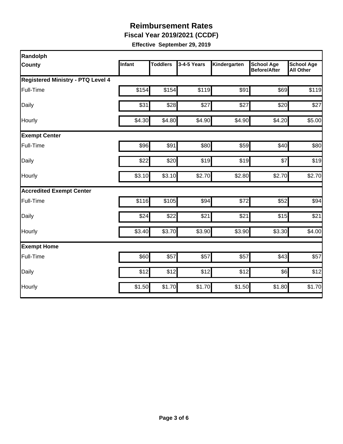**Fiscal Year 2019/2021 (CCDF)**

| Randolph                                 |        |                 |             |              |                                          |                                       |
|------------------------------------------|--------|-----------------|-------------|--------------|------------------------------------------|---------------------------------------|
| County                                   | Infant | <b>Toddlers</b> | 3-4-5 Years | Kindergarten | <b>School Age</b><br><b>Before/After</b> | <b>School Age</b><br><b>All Other</b> |
| <b>Registered Ministry - PTQ Level 4</b> |        |                 |             |              |                                          |                                       |
| Full-Time                                | \$154  | \$154           | \$119       | \$91         | \$69                                     | \$119                                 |
| Daily                                    | \$31   | \$28            | \$27        | \$27         | \$20                                     | \$27                                  |
| Hourly                                   | \$4.30 | \$4.80          | \$4.90      | \$4.90       | \$4.20                                   | \$5.00                                |
| <b>Exempt Center</b>                     |        |                 |             |              |                                          |                                       |
| Full-Time                                | \$96   | \$91            | \$80        | \$59         | \$40                                     | \$80                                  |
| Daily                                    | \$22   | \$20            | \$19        | \$19         | \$7                                      | \$19                                  |
| Hourly                                   | \$3.10 | \$3.10          | \$2.70      | \$2.80       | \$2.70                                   | \$2.70                                |
| <b>Accredited Exempt Center</b>          |        |                 |             |              |                                          |                                       |
| Full-Time                                | \$116  | \$105           | \$94        | \$72         | \$52                                     | \$94                                  |
| Daily                                    | \$24   | \$22            | \$21        | \$21         | \$15                                     | \$21                                  |
| Hourly                                   | \$3.40 | \$3.70          | \$3.90      | \$3.90       | \$3.30                                   | \$4.00                                |
| <b>Exempt Home</b>                       |        |                 |             |              |                                          |                                       |
| Full-Time                                | \$60   | \$57            | \$57        | \$57         | \$43                                     | \$57                                  |
| Daily                                    | \$12   | \$12            | \$12        | \$12         | \$6]                                     | \$12                                  |
| Hourly                                   | \$1.50 | \$1.70          | \$1.70      | \$1.50       | \$1.80                                   | \$1.70                                |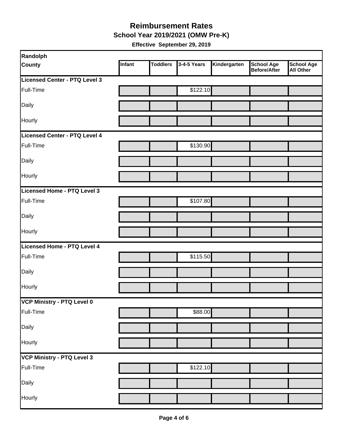#### **School Year 2019/2021 (OMW Pre-K) Reimbursement Rates**

| Randolph                      |        |                 |             |              |                                          |                                       |
|-------------------------------|--------|-----------------|-------------|--------------|------------------------------------------|---------------------------------------|
| <b>County</b>                 | Infant | <b>Toddlers</b> | 3-4-5 Years | Kindergarten | <b>School Age</b><br><b>Before/After</b> | <b>School Age</b><br><b>All Other</b> |
| Licensed Center - PTQ Level 3 |        |                 |             |              |                                          |                                       |
| Full-Time                     |        |                 | \$122.10    |              |                                          |                                       |
| Daily                         |        |                 |             |              |                                          |                                       |
| <b>Hourly</b>                 |        |                 |             |              |                                          |                                       |
| Licensed Center - PTQ Level 4 |        |                 |             |              |                                          |                                       |
| Full-Time                     |        |                 | \$130.90    |              |                                          |                                       |
| Daily                         |        |                 |             |              |                                          |                                       |
| Hourly                        |        |                 |             |              |                                          |                                       |
| Licensed Home - PTQ Level 3   |        |                 |             |              |                                          |                                       |
| Full-Time                     |        |                 | \$107.80    |              |                                          |                                       |
| Daily                         |        |                 |             |              |                                          |                                       |
| Hourly                        |        |                 |             |              |                                          |                                       |
| Licensed Home - PTQ Level 4   |        |                 |             |              |                                          |                                       |
| Full-Time                     |        |                 | \$115.50    |              |                                          |                                       |
| Daily                         |        |                 |             |              |                                          |                                       |
| Hourly                        |        |                 |             |              |                                          |                                       |
| VCP Ministry - PTQ Level 0    |        |                 |             |              |                                          |                                       |
| Full-Time                     |        |                 | \$88.00     |              |                                          |                                       |
| Daily                         |        |                 |             |              |                                          |                                       |
| Hourly                        |        |                 |             |              |                                          |                                       |
| VCP Ministry - PTQ Level 3    |        |                 |             |              |                                          |                                       |
| Full-Time                     |        |                 | \$122.10    |              |                                          |                                       |
| Daily                         |        |                 |             |              |                                          |                                       |
| Hourly                        |        |                 |             |              |                                          |                                       |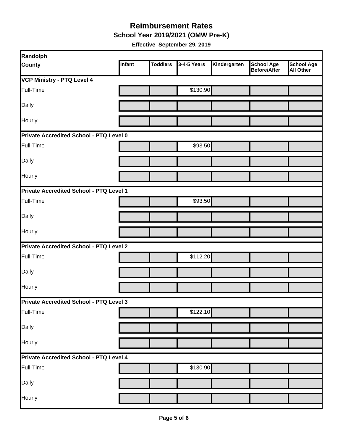**School Year 2019/2021 (OMW Pre-K)**

| <b>Randolph</b>                         |        |                 |             |              |                                   |                                       |  |  |
|-----------------------------------------|--------|-----------------|-------------|--------------|-----------------------------------|---------------------------------------|--|--|
| <b>County</b>                           | Infant | <b>Toddlers</b> | 3-4-5 Years | Kindergarten | <b>School Age</b><br>Before/After | <b>School Age</b><br><b>All Other</b> |  |  |
| <b>VCP Ministry - PTQ Level 4</b>       |        |                 |             |              |                                   |                                       |  |  |
| Full-Time                               |        |                 | \$130.90    |              |                                   |                                       |  |  |
| Daily                                   |        |                 |             |              |                                   |                                       |  |  |
| Hourly                                  |        |                 |             |              |                                   |                                       |  |  |
| Private Accredited School - PTQ Level 0 |        |                 |             |              |                                   |                                       |  |  |
| Full-Time                               |        |                 | \$93.50     |              |                                   |                                       |  |  |
| Daily                                   |        |                 |             |              |                                   |                                       |  |  |
| Hourly                                  |        |                 |             |              |                                   |                                       |  |  |
| Private Accredited School - PTQ Level 1 |        |                 |             |              |                                   |                                       |  |  |
| Full-Time                               |        |                 | \$93.50     |              |                                   |                                       |  |  |
| Daily                                   |        |                 |             |              |                                   |                                       |  |  |
| Hourly                                  |        |                 |             |              |                                   |                                       |  |  |
| Private Accredited School - PTQ Level 2 |        |                 |             |              |                                   |                                       |  |  |
| Full-Time                               |        |                 | \$112.20    |              |                                   |                                       |  |  |
| Daily                                   |        |                 |             |              |                                   |                                       |  |  |
| Hourly                                  |        |                 |             |              |                                   |                                       |  |  |
| Private Accredited School - PTQ Level 3 |        |                 |             |              |                                   |                                       |  |  |
| Full-Time                               |        |                 | \$122.10    |              |                                   |                                       |  |  |
| Daily                                   |        |                 |             |              |                                   |                                       |  |  |
| Hourly                                  |        |                 |             |              |                                   |                                       |  |  |
| Private Accredited School - PTQ Level 4 |        |                 |             |              |                                   |                                       |  |  |
| Full-Time                               |        |                 | \$130.90    |              |                                   |                                       |  |  |
| Daily                                   |        |                 |             |              |                                   |                                       |  |  |
| Hourly                                  |        |                 |             |              |                                   |                                       |  |  |